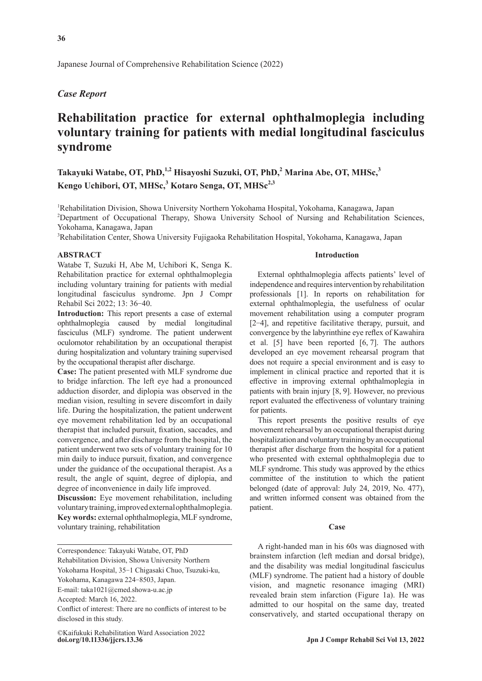Japanese Journal of Comprehensive Rehabilitation Science (2022)

## *Case Report*

# **Rehabilitation practice for external ophthalmoplegia including voluntary training for patients with medial longitudinal fasciculus syndrome**

Takayuki Watabe, OT, PhD,<sup>1,2</sup> Hisayoshi Suzuki, OT, PhD,<sup>2</sup> Marina Abe, OT, MHSc,<sup>3</sup> Kengo Uchibori, OT, MHSc,<sup>3</sup> Kotaro Senga, OT, MHSc<sup>2,3</sup>

<sup>1</sup>Rehabilitation Division, Showa University Northern Yokohama Hospital, Yokohama, Kanagawa, Japan <sup>2</sup>Department of Occupational Therapy, Showa University School of Nursing and Rehabilitation Sciences, Yokohama, Kanagawa, Japan

3 Rehabilitation Center, Showa University Fujigaoka Rehabilitation Hospital, Yokohama, Kanagawa, Japan

#### **ABSTRACT**

Watabe T, Suzuki H, Abe M, Uchibori K, Senga K. Rehabilitation practice for external ophthalmoplegia including voluntary training for patients with medial longitudinal fasciculus syndrome. Jpn J Compr Rehabil Sci 2022; 13: 36‒40.

**Introduction:** This report presents a case of external ophthalmoplegia caused by medial longitudinal fasciculus (MLF) syndrome. The patient underwent oculomotor rehabilitation by an occupational therapist during hospitalization and voluntary training supervised by the occupational therapist after discharge.

**Case:** The patient presented with MLF syndrome due to bridge infarction. The left eye had a pronounced adduction disorder, and diplopia was observed in the median vision, resulting in severe discomfort in daily life. During the hospitalization, the patient underwent eye movement rehabilitation led by an occupational therapist that included pursuit, fixation, saccades, and convergence, and after discharge from the hospital, the patient underwent two sets of voluntary training for 10 min daily to induce pursuit, fixation, and convergence under the guidance of the occupational therapist. As a result, the angle of squint, degree of diplopia, and degree of inconvenience in daily life improved.

**Discussion:** Eye movement rehabilitation, including voluntary training, improved external ophthalmoplegia. **Key words:** external ophthalmoplegia, MLF syndrome, voluntary training, rehabilitation

Correspondence: Takayuki Watabe, OT, PhD Rehabilitation Division, Showa University Northern Yokohama Hospital, 35-1 Chigasaki Chuo, Tsuzuki-ku, Yokohama, Kanagawa 224‒8503, Japan.

Conflict of interest: There are no conflicts of interest to be disclosed in this study.

**doi.org/10.11336/jjcrs.13.36 Jpn J Compr Rehabil Sci Vol 13, 2022** ©Kaifukuki Rehabilitation Ward Association 2022

### **Introduction**

External ophthalmoplegia affects patients' level of independence and requires intervention by rehabilitation professionals [1]. In reports on rehabilitation for external ophthalmoplegia, the usefulness of ocular movement rehabilitation using a computer program [2-4], and repetitive facilitative therapy, pursuit, and convergence by the labyrinthine eye reflex of Kawahira et al. [5] have been reported [6, 7]. The authors developed an eye movement rehearsal program that does not require a special environment and is easy to implement in clinical practice and reported that it is effective in improving external ophthalmoplegia in patients with brain injury [8, 9]. However, no previous report evaluated the effectiveness of voluntary training for patients.

This report presents the positive results of eye movement rehearsal by an occupational therapist during hospitalization and voluntary training by an occupational therapist after discharge from the hospital for a patient who presented with external ophthalmoplegia due to MLF syndrome. This study was approved by the ethics committee of the institution to which the patient belonged (date of approval: July 24, 2019, No. 477), and written informed consent was obtained from the patient.

## **Case**

A right-handed man in his 60s was diagnosed with brainstem infarction (left median and dorsal bridge), and the disability was medial longitudinal fasciculus (MLF) syndrome. The patient had a history of double vision, and magnetic resonance imaging (MRI) revealed brain stem infarction (Figure 1a). He was admitted to our hospital on the same day, treated conservatively, and started occupational therapy on

E-mail: taka1021@cmed.showa-u.ac.jp

Accepted: March 16, 2022.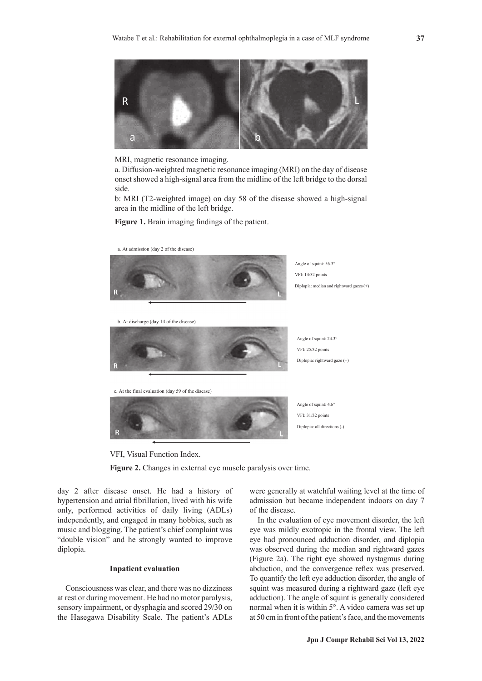

MRI, magnetic resonance imaging.

a. Diffusion-weighted magnetic resonance imaging (MRI) on the day of disease onset showed a high-signal area from the midline of the left bridge to the dorsal side.

b: MRI (T2-weighted image) on day 58 of the disease showed a high-signal area in the midline of the left bridge.

**Figure 1.** Brain imaging findings of the patient.

a. At admission (day 2 of the disease)



b. At discharge (day 14 of the disease)



c. At the final evaluation (day 59 of the disease)



Angle of squint: 4.6° VFI: 31/32 points Diplopia: all directions (-)

Angle of squint: 24.3° VFI: 25/32 points Diplopia: rightward gaze (+)

VFI, Visual Function Index.

**Figure 2.** Changes in external eye muscle paralysis over time.

day 2 after disease onset. He had a history of hypertension and atrial fibrillation, lived with his wife only, performed activities of daily living (ADLs) independently, and engaged in many hobbies, such as music and blogging. The patient's chief complaint was "double vision" and he strongly wanted to improve diplopia.

#### **Inpatient evaluation**

Consciousness was clear, and there was no dizziness at rest or during movement. He had no motor paralysis, sensory impairment, or dysphagia and scored 29/30 on the Hasegawa Disability Scale. The patient's ADLs were generally at watchful waiting level at the time of admission but became independent indoors on day 7 of the disease.

In the evaluation of eye movement disorder, the left eye was mildly exotropic in the frontal view. The left eye had pronounced adduction disorder, and diplopia was observed during the median and rightward gazes (Figure 2a). The right eye showed nystagmus during abduction, and the convergence reflex was preserved. To quantify the left eye adduction disorder, the angle of squint was measured during a rightward gaze (left eye adduction). The angle of squint is generally considered normal when it is within 5°. A video camera was set up at 50 cm in front of the patient's face, and the movements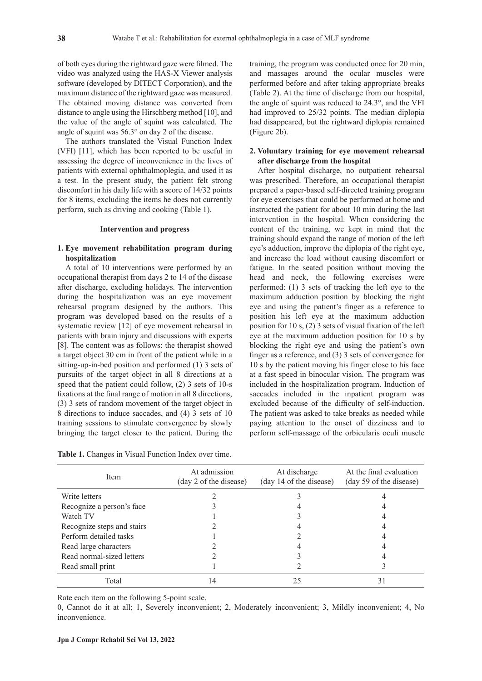of both eyes during the rightward gaze were filmed. The video was analyzed using the HAS-X Viewer analysis software (developed by DITECT Corporation), and the maximum distance of the rightward gaze was measured. The obtained moving distance was converted from distance to angle using the Hirschberg method [10], and the value of the angle of squint was calculated. The angle of squint was 56.3° on day 2 of the disease.

The authors translated the Visual Function Index (VFI) [11], which has been reported to be useful in assessing the degree of inconvenience in the lives of patients with external ophthalmoplegia, and used it as a test. In the present study, the patient felt strong discomfort in his daily life with a score of 14/32 points for 8 items, excluding the items he does not currently perform, such as driving and cooking (Table 1).

#### **Intervention and progress**

## **1. Eye movement rehabilitation program during hospitalization**

A total of 10 interventions were performed by an occupational therapist from days 2 to 14 of the disease after discharge, excluding holidays. The intervention during the hospitalization was an eye movement rehearsal program designed by the authors. This program was developed based on the results of a systematic review [12] of eye movement rehearsal in patients with brain injury and discussions with experts [8]. The content was as follows: the therapist showed a target object 30 cm in front of the patient while in a sitting-up-in-bed position and performed (1) 3 sets of pursuits of the target object in all 8 directions at a speed that the patient could follow, (2) 3 sets of 10-s fixations at the final range of motion in all 8 directions, (3) 3 sets of random movement of the target object in 8 directions to induce saccades, and (4) 3 sets of 10 training sessions to stimulate convergence by slowly bringing the target closer to the patient. During the

**Table 1.** Changes in Visual Function Index over time.

training, the program was conducted once for 20 min, and massages around the ocular muscles were performed before and after taking appropriate breaks (Table 2). At the time of discharge from our hospital, the angle of squint was reduced to 24.3°, and the VFI had improved to 25/32 points. The median diplopia had disappeared, but the rightward diplopia remained (Figure 2b).

## **2. Voluntary training for eye movement rehearsal after discharge from the hospital**

After hospital discharge, no outpatient rehearsal was prescribed. Therefore, an occupational therapist prepared a paper-based self-directed training program for eye exercises that could be performed at home and instructed the patient for about 10 min during the last intervention in the hospital. When considering the content of the training, we kept in mind that the training should expand the range of motion of the left eye's adduction, improve the diplopia of the right eye, and increase the load without causing discomfort or fatigue. In the seated position without moving the head and neck, the following exercises were performed: (1) 3 sets of tracking the left eye to the maximum adduction position by blocking the right eye and using the patient's finger as a reference to position his left eye at the maximum adduction position for 10 s, (2) 3 sets of visual fixation of the left eye at the maximum adduction position for 10 s by blocking the right eye and using the patient's own finger as a reference, and (3) 3 sets of convergence for 10 s by the patient moving his finger close to his face at a fast speed in binocular vision. The program was included in the hospitalization program. Induction of saccades included in the inpatient program was excluded because of the difficulty of self-induction. The patient was asked to take breaks as needed while paying attention to the onset of dizziness and to perform self-massage of the orbicularis oculi muscle

| <b>Item</b>                | At admission<br>(day 2 of the disease) | At discharge<br>(day 14 of the disease) | At the final evaluation<br>(day 59 of the disease) |
|----------------------------|----------------------------------------|-----------------------------------------|----------------------------------------------------|
| Write letters              |                                        |                                         |                                                    |
| Recognize a person's face  |                                        |                                         |                                                    |
| Watch TV                   |                                        |                                         |                                                    |
| Recognize steps and stairs |                                        |                                         |                                                    |
| Perform detailed tasks     |                                        |                                         |                                                    |
| Read large characters      |                                        |                                         |                                                    |
| Read normal-sized letters  |                                        |                                         |                                                    |
| Read small print           |                                        |                                         |                                                    |
| Total                      |                                        |                                         | 31                                                 |

Rate each item on the following 5-point scale.

0, Cannot do it at all; 1, Severely inconvenient; 2, Moderately inconvenient; 3, Mildly inconvenient; 4, No inconvenience.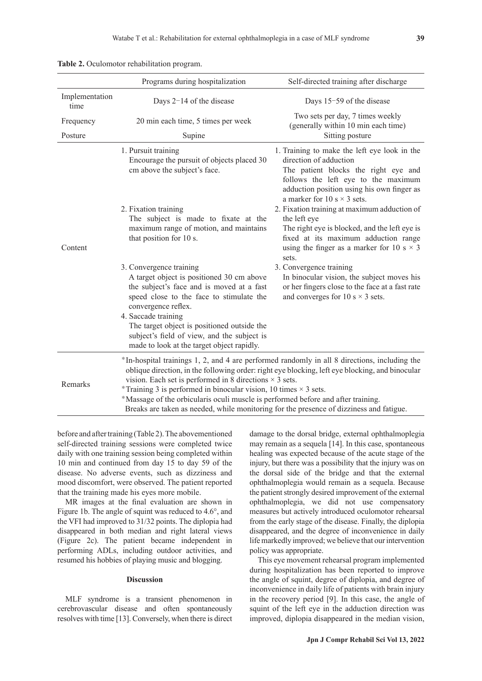|                        | Programs during hospitalization                                                                                                                                                                                                                                                                                                                                                                                                                                                                                             | Self-directed training after discharge                                                                                                                                                                                                    |  |
|------------------------|-----------------------------------------------------------------------------------------------------------------------------------------------------------------------------------------------------------------------------------------------------------------------------------------------------------------------------------------------------------------------------------------------------------------------------------------------------------------------------------------------------------------------------|-------------------------------------------------------------------------------------------------------------------------------------------------------------------------------------------------------------------------------------------|--|
| Implementation<br>time | Days $2-14$ of the disease                                                                                                                                                                                                                                                                                                                                                                                                                                                                                                  | Days 15-59 of the disease                                                                                                                                                                                                                 |  |
| Frequency              | 20 min each time, 5 times per week                                                                                                                                                                                                                                                                                                                                                                                                                                                                                          | Two sets per day, 7 times weekly<br>(generally within 10 min each time)                                                                                                                                                                   |  |
| Posture                | Supine                                                                                                                                                                                                                                                                                                                                                                                                                                                                                                                      | Sitting posture                                                                                                                                                                                                                           |  |
| Content                | 1. Pursuit training<br>Encourage the pursuit of objects placed 30<br>cm above the subject's face.                                                                                                                                                                                                                                                                                                                                                                                                                           | 1. Training to make the left eye look in the<br>direction of adduction<br>The patient blocks the right eye and<br>follows the left eye to the maximum<br>adduction position using his own finger as<br>a marker for 10 s $\times$ 3 sets. |  |
|                        | 2. Fixation training<br>The subject is made to fixate at the<br>maximum range of motion, and maintains<br>that position for 10 s.                                                                                                                                                                                                                                                                                                                                                                                           | 2. Fixation training at maximum adduction of<br>the left eye<br>The right eye is blocked, and the left eye is<br>fixed at its maximum adduction range<br>using the finger as a marker for 10 s $\times$ 3<br>sets.                        |  |
|                        | 3. Convergence training<br>A target object is positioned 30 cm above<br>the subject's face and is moved at a fast<br>speed close to the face to stimulate the<br>convergence reflex.<br>4. Saccade training<br>The target object is positioned outside the<br>subject's field of view, and the subject is<br>made to look at the target object rapidly.                                                                                                                                                                     | 3. Convergence training<br>In binocular vision, the subject moves his<br>or her fingers close to the face at a fast rate<br>and converges for 10 s $\times$ 3 sets.                                                                       |  |
| Remarks                | *In-hospital trainings 1, 2, and 4 are performed randomly in all 8 directions, including the<br>oblique direction, in the following order: right eye blocking, left eye blocking, and binocular<br>vision. Each set is performed in 8 directions $\times$ 3 sets.<br>*Training 3 is performed in binocular vision, 10 times $\times$ 3 sets.<br>*Massage of the orbicularis oculi muscle is performed before and after training.<br>Breaks are taken as needed, while monitoring for the presence of dizziness and fatigue. |                                                                                                                                                                                                                                           |  |

**Table 2.** Oculomotor rehabilitation program.

before and after training (Table 2). The abovementioned self-directed training sessions were completed twice daily with one training session being completed within 10 min and continued from day 15 to day 59 of the disease. No adverse events, such as dizziness and mood discomfort, were observed. The patient reported that the training made his eyes more mobile.

MR images at the final evaluation are shown in Figure 1b. The angle of squint was reduced to 4.6°, and the VFI had improved to 31/32 points. The diplopia had disappeared in both median and right lateral views (Figure 2c). The patient became independent in performing ADLs, including outdoor activities, and resumed his hobbies of playing music and blogging.

## **Discussion**

MLF syndrome is a transient phenomenon in cerebrovascular disease and often spontaneously resolves with time [13]. Conversely, when there is direct damage to the dorsal bridge, external ophthalmoplegia may remain as a sequela [14]. In this case, spontaneous healing was expected because of the acute stage of the injury, but there was a possibility that the injury was on the dorsal side of the bridge and that the external ophthalmoplegia would remain as a sequela. Because the patient strongly desired improvement of the external ophthalmoplegia, we did not use compensatory measures but actively introduced oculomotor rehearsal from the early stage of the disease. Finally, the diplopia disappeared, and the degree of inconvenience in daily life markedly improved; we believe that our intervention policy was appropriate.

This eye movement rehearsal program implemented during hospitalization has been reported to improve the angle of squint, degree of diplopia, and degree of inconvenience in daily life of patients with brain injury in the recovery period [9]. In this case, the angle of squint of the left eye in the adduction direction was improved, diplopia disappeared in the median vision,